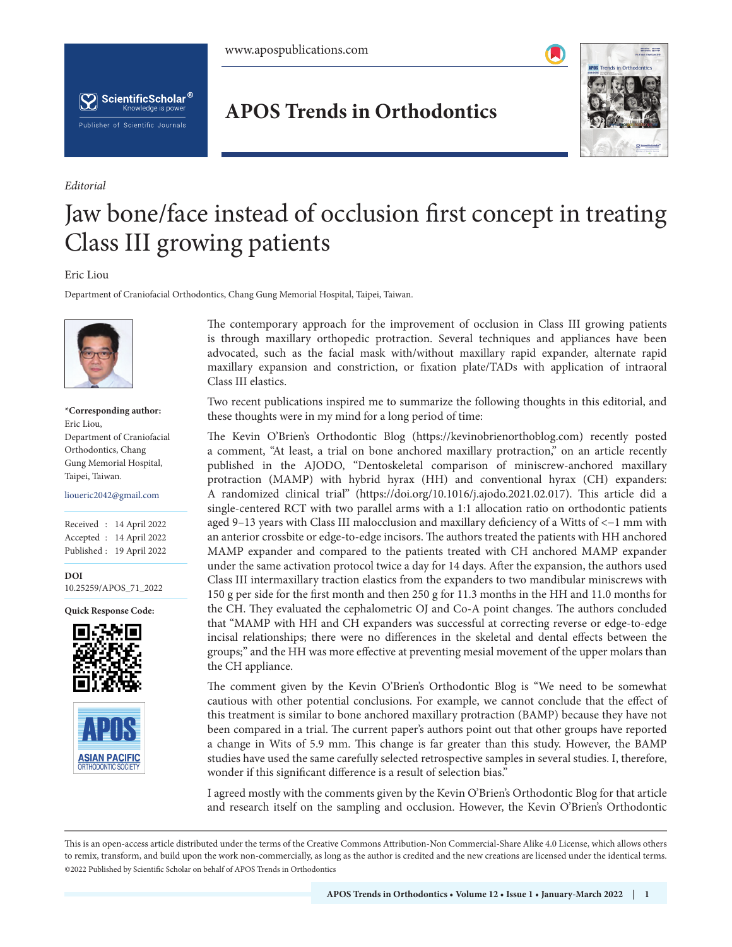



*Editorial*

## **APOS Trends in Orthodontics**



## Jaw bone/face instead of occlusion first concept in treating Class III growing patients

## Eric Liou

Department of Craniofacial Orthodontics, Chang Gung Memorial Hospital, Taipei, Taiwan.



**\*Corresponding author:** Eric Liou, Department of Craniofacial Orthodontics, Chang Gung Memorial Hospital, Taipei, Taiwan.

lioueric2042@gmail.com

Received : 14 April 2022 Accepted : 14 April 2022 Published : 19 April 2022

**DOI** 10.25259/APOS\_71\_2022

**Quick Response Code:**





The contemporary approach for the improvement of occlusion in Class III growing patients is through maxillary orthopedic protraction. Several techniques and appliances have been advocated, such as the facial mask with/without maxillary rapid expander, alternate rapid maxillary expansion and constriction, or fixation plate/TADs with application of intraoral Class III elastics.

Two recent publications inspired me to summarize the following thoughts in this editorial, and these thoughts were in my mind for a long period of time:

The Kevin O'Brien's Orthodontic Blog (https://kevinobrienorthoblog.com) recently posted a comment, "At least, a trial on bone anchored maxillary protraction," on an article recently published in the AJODO, "Dentoskeletal comparison of miniscrew-anchored maxillary protraction (MAMP) with hybrid hyrax (HH) and conventional hyrax (CH) expanders: A randomized clinical trial" (https://doi.org/10.1016/j.ajodo.2021.02.017). This article did a single-centered RCT with two parallel arms with a 1:1 allocation ratio on orthodontic patients aged 9–13 years with Class III malocclusion and maxillary deficiency of a Witts of <−1 mm with an anterior crossbite or edge-to-edge incisors. The authors treated the patients with HH anchored MAMP expander and compared to the patients treated with CH anchored MAMP expander under the same activation protocol twice a day for 14 days. After the expansion, the authors used Class III intermaxillary traction elastics from the expanders to two mandibular miniscrews with 150 g per side for the first month and then 250 g for 11.3 months in the HH and 11.0 months for the CH. They evaluated the cephalometric OJ and Co-A point changes. The authors concluded that "MAMP with HH and CH expanders was successful at correcting reverse or edge-to-edge incisal relationships; there were no differences in the skeletal and dental effects between the groups;" and the HH was more effective at preventing mesial movement of the upper molars than the CH appliance.

The comment given by the Kevin O'Brien's Orthodontic Blog is "We need to be somewhat cautious with other potential conclusions. For example, we cannot conclude that the effect of this treatment is similar to bone anchored maxillary protraction (BAMP) because they have not been compared in a trial. The current paper's authors point out that other groups have reported a change in Wits of 5.9 mm. This change is far greater than this study. However, the BAMP studies have used the same carefully selected retrospective samples in several studies. I, therefore, wonder if this significant difference is a result of selection bias."

I agreed mostly with the comments given by the Kevin O'Brien's Orthodontic Blog for that article and research itself on the sampling and occlusion. However, the Kevin O'Brien's Orthodontic

is is an open-access article distributed under the terms of the Creative Commons Attribution-Non Commercial-Share Alike 4.0 License, which allows others to remix, transform, and build upon the work non-commercially, as long as the author is credited and the new creations are licensed under the identical terms. ©2022 Published by Scientific Scholar on behalf of APOS Trends in Orthodontics